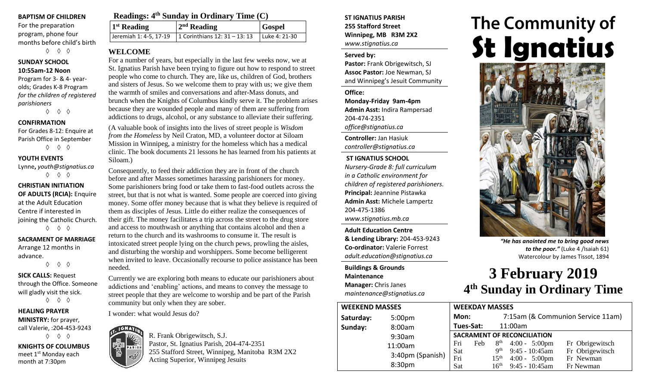#### **BAPTISM OF CHILDREN**

For the preparation program, phone four months before child's birth ◊ ◊ ◊

# **SUNDAY SCHOOL**

**10:55am-12 Noon** Program for 3- & 4- yearolds; Grades K-8 Program *for the children of registered parishioners*

◊ ◊ ◊

#### **CONFIRMATION**

For Grades 8-12: Enquire at Parish Office in September ◊ ◊ ◊

#### **YOUTH EVENTS**

Lynne**,** *youth@stignatius.ca* ◊ ◊ ◊

**CHRISTIAN INITIATION OF ADULTS (RCIA):** Enquire at the Adult Education Centre if interested in joining the Catholic Church. ◊ ◊ ◊

## **SACRAMENT OF MARRIAGE**

Arrange 12 months in advance. ◊ ◊ ◊

**SICK CALLS:** Request through the Office. Someone will gladly visit the sick. ◊ ◊ ◊

**HEALING PRAYER MINISTRY:** for prayer, call Valerie, :204-453-9243 ◊ ◊ ◊

**KNIGHTS OF COLUMBUS** meet 1<sup>st</sup> Monday each month at 7:30pm

| Readings: 4 <sup>th</sup> Sunday in Ordinary Time (C) |                                                        |               |  |  |  |
|-------------------------------------------------------|--------------------------------------------------------|---------------|--|--|--|
| $1st$ Reading                                         | $2nd$ Reading                                          | <b>Gospel</b> |  |  |  |
|                                                       | Jeremiah 1: 4-5, 17-19   1 Corinthians 12: 31 – 13: 13 | Luke 4: 21-30 |  |  |  |

#### **WELCOME**

For a number of years, but especially in the last few weeks now, we at St. Ignatius Parish have been trying to figure out how to respond to street people who come to church. They are, like us, children of God, brothers and sisters of Jesus. So we welcome them to pray with us; we give them the warmth of smiles and conversations and after-Mass donuts, and brunch when the Knights of Columbus kindly serve it. The problem arises because they are wounded people and many of them are suffering from addictions to drugs, alcohol, or any substance to alleviate their suffering.

(A valuable book of insights into the lives of street people is *Wisdom from the Homeless* by Neil Craton, MD, a volunteer doctor at Siloam Mission in Winnipeg, a ministry for the homeless which has a medical clinic. The book documents 21 lessons he has learned from his patients at Siloam.)

Consequently, to feed their addiction they are in front of the church before and after Masses sometimes harassing parishioners for money. Some parishioners bring food or take them to fast-food outlets across the street, but that is not what is wanted. Some people are coerced into giving money. Some offer money because that is what they believe is required of them as disciples of Jesus. Little do either realize the consequences of their gift. The money facilitates a trip across the street to the drug store and access to mouthwash or anything that contains alcohol and then a return to the church and its washrooms to consume it. The result is intoxicated street people lying on the church pews, prowling the aisles, and disturbing the worship and worshippers. Some become belligerent when invited to leave. Occasionally recourse to police assistance has been needed.

Currently we are exploring both means to educate our parishioners about addictions and 'enabling' actions, and means to convey the message to street people that they are welcome to worship and be part of the Parish community but only when they are sober.

I wonder: what would Jesus do?



#### *controller@stignatius.ca* **ST IGNATIUS SCHOOL** *Nursery-Grade 8: full curriculum in a Catholic environment for children of registered parishioners.* **Principal:** Jeannine Pistawka

**Admin Asst:** Michele Lampertz 204-475-1386 *www.stignatius.mb.ca*

**ST IGNATIUS PARISH 255 Stafford Street Winnipeg, MB R3M 2X2**

*www.stignatius.ca*

**Pastor:** Frank Obrigewitsch, SJ **Assoc Pastor:** Joe Newman, SJ and Winnipeg's Jesuit Community

**Monday-Friday 9am-4pm Admin Asst:** Indira Rampersad

**Served by:**

**Office:**

204-474-2351 *office@stignatius.ca* **Controller:** Jan Hasiuk

**Adult Education Centre & Lending Library:** 204-453-9243 **Co-ordinator:** Valerie Forrest *adult.education@stignatius.ca*

#### **Buildings & Grounds Maintenance Manager:** Chris Janes *maintenance@stignatius.ca*

# **The Community of St Ignatius**



*"He has anointed me to bring good news to the poor."* (Luke 4 /Isaiah 61) Watercolour by James Tissot, 1894

# **3 February 2019 4 th Sunday in Ordinary Time**

| <b>WEEKDAY MASSES</b>                                                                                      |  |  |  |
|------------------------------------------------------------------------------------------------------------|--|--|--|
|                                                                                                            |  |  |  |
|                                                                                                            |  |  |  |
| <b>SACRAMENT OF RECONCILIATION</b><br>8 <sup>th</sup><br>Fri<br>$4:00 - 5:00 \text{pm}$<br>Fr Obrigewitsch |  |  |  |
|                                                                                                            |  |  |  |
|                                                                                                            |  |  |  |
|                                                                                                            |  |  |  |
|                                                                                                            |  |  |  |

R. Frank Obrigewitsch, S.J. Pastor, St. Ignatius Parish, 204-474-2351 255 Stafford Street, Winnipeg, Manitoba R3M 2X2 Acting Superior, Winnipeg Jesuits